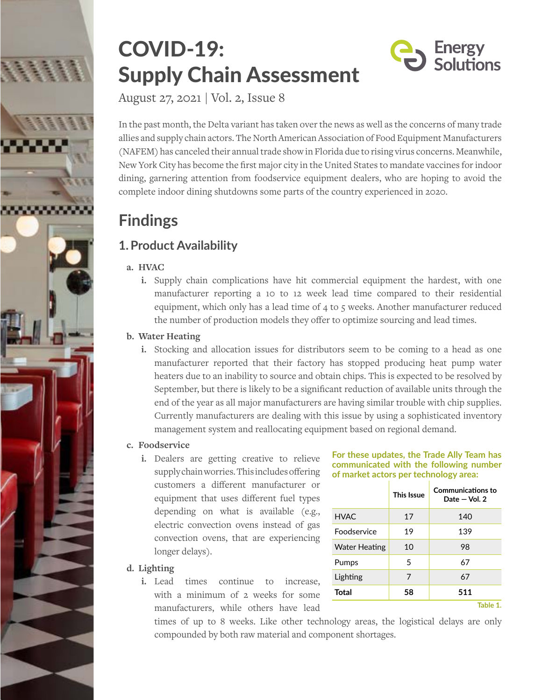

# COVID-19: Supply Chain Assessment



August 27, 2021 | Vol. 2, Issue 8

In the past month, the Delta variant has taken over the news as well as the concerns of many trade allies and supply chain actors. The North American Association of Food Equipment Manufacturers (NAFEM) has canceled their annual trade show in Florida due to rising virus concerns. Meanwhile, New York City has become the first major city in the United States to mandate vaccines for indoor dining, garnering attention from foodservice equipment dealers, who are hoping to avoid the complete indoor dining shutdowns some parts of the country experienced in 2020.

## **Findings**

## **1.Product Availability**

#### **a. HVAC**

**i.** Supply chain complications have hit commercial equipment the hardest, with one manufacturer reporting a 10 to 12 week lead time compared to their residential equipment, which only has a lead time of 4 to 5 weeks. Another manufacturer reduced the number of production models they offer to optimize sourcing and lead times.

#### **b. Water Heating**

**i.** Stocking and allocation issues for distributors seem to be coming to a head as one manufacturer reported that their factory has stopped producing heat pump water heaters due to an inability to source and obtain chips. This is expected to be resolved by September, but there is likely to be a significant reduction of available units through the end of the year as all major manufacturers are having similar trouble with chip supplies. Currently manufacturers are dealing with this issue by using a sophisticated inventory management system and reallocating equipment based on regional demand.

#### **c. Foodservice**

**i.** Dealers are getting creative to relieve supply chain worries. This includes offering customers a different manufacturer or equipment that uses different fuel types depending on what is available (e.g., electric convection ovens instead of gas convection ovens, that are experiencing longer delays).

#### **d. Lighting**

**i.** Lead times continue to increase, with a minimum of 2 weeks for some manufacturers, while others have lead

#### **For these updates, the Trade Ally Team has communicated with the following number of market actors per technology area:**

|                      | This Issue | <b>Communications to</b><br>Date $-$ Vol. 2 |
|----------------------|------------|---------------------------------------------|
| <b>HVAC</b>          | 17         | 140                                         |
| Foodservice          | 19         | 139                                         |
| <b>Water Heating</b> | 10         | 98                                          |
| Pumps                | 5          | 67                                          |
| Lighting             | 7          | 67                                          |
| Total                | 58         | 511                                         |
|                      |            | Table 1.                                    |

times of up to 8 weeks. Like other technology areas, the logistical delays are only compounded by both raw material and component shortages.